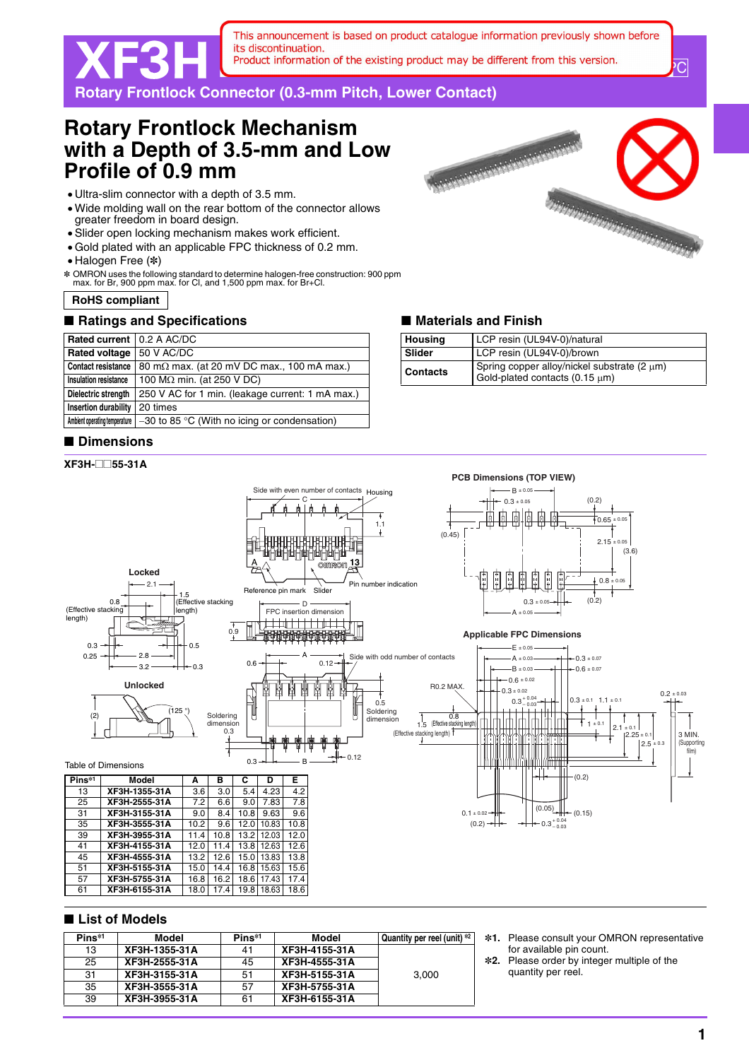This announcement is based on product catalogue information previously shown before its discontinuation. Product information of the existing product may be different from this version.

XF3H **Rotary Frontlock Connector (0.3-mm Pitch, Lower Contact)**

# **Rotary Frontlock Mechanism with a Depth of 3.5-mm and Low Profile of 0.9 mm**

- Ultra-slim connector with a depth of 3.5 mm.
- Wide molding wall on the rear bottom of the connector allows greater freedom in board design.
- Slider open locking mechanism makes work efficient.
- Gold plated with an applicable FPC thickness of 0.2 mm.
- Halogen Free (\*)
- \* OMRON uses the following standard to determine halogen-free construction: 900 ppm max. for Br, 900 ppm max. for Cl, and 1,500 ppm max. for Br+Cl.
- **RoHS compliant**

# ■ Ratings and Specifications **■ Materials and Finish**

| Rated current   0.2 A AC/DC |                                                                               |  |
|-----------------------------|-------------------------------------------------------------------------------|--|
| <b>Rated voltage</b>        | 50 V AC/DC                                                                    |  |
| <b>Contact resistance</b>   | 80 m $\Omega$ max. (at 20 mV DC max., 100 mA max.)                            |  |
| Insulation resistance       | 100 M $\Omega$ min. (at 250 V DC)                                             |  |
| Dielectric strength         | 250 V AC for 1 min. (leakage current: 1 mA max.)                              |  |
| Insertion durability        | 20 times                                                                      |  |
|                             | Ambient operating temperature $ -30$ to 85 °C (With no icing or condensation) |  |

## ■ **Dimensions**

### **XF3H-**@@**55-31A**



 $\overline{\mathrm{C}}$ 

| Housing         | LCP resin (UL94V-0)/natural                                                   |  |
|-----------------|-------------------------------------------------------------------------------|--|
| Slider          | LCP resin (UL94V-0)/brown                                                     |  |
| <b>Contacts</b> | Spring copper alloy/nickel substrate (2 µm)<br>Gold-plated contacts (0.15 µm) |  |



#### ■ **List of Models**

57 **XF3H-5755-31A** 16.8<br>61 **XF3H-6155-31A** 18.0

45 **XF3H-4555-31A** 13.2 12.6 15.0 13.83 13.8 51 **XF3H-5155-31A** 15.0 14.4 16.8 15.63 15.6

61 **XF3H-6155-31A** 18.0 17.4 19.8 18.63 18.6

| Pins <sup>*1</sup> | Model         | Pins*1 | Model         | Quantity per reel (unit) *2 |
|--------------------|---------------|--------|---------------|-----------------------------|
| 13                 | XF3H-1355-31A | 41     | XF3H-4155-31A |                             |
| 25                 | XF3H-2555-31A | 45     | XF3H-4555-31A |                             |
| 31                 | XF3H-3155-31A | 51     | XF3H-5155-31A | 3.000                       |
| 35                 | XF3H-3555-31A | 57     | XF3H-5755-31A |                             |
| 39                 | XF3H-3955-31A | 61     | XF3H-6155-31A |                             |

- **\*1.** Please consult your OMRON representative for available pin count.
- **\*2.** Please order by integer multiple of the quantity per reel.